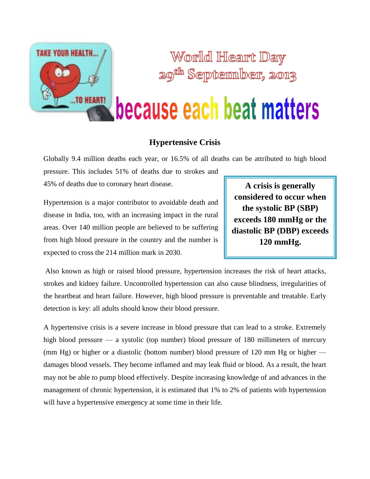

World Heart Day <sup>th</sup> September, 2013

# because each beat matters

### **Hypertensive Crisis**

Globally 9.4 million deaths each year, or 16.5% of all deaths can be attributed to high blood

pressure. This includes 51% of deaths due to strokes and 45% of deaths due to coronary heart disease.

Hypertension is a major contributor to avoidable death and disease in India, too, with an increasing impact in the rural areas. Over 140 million people are believed to be suffering from high blood pressure in the country and the number is expected to cross the 214 million mark in 2030.

**A crisis is generally considered to occur when the systolic BP (SBP) exceeds 180 mmHg or the diastolic BP (DBP) exceeds 120 mmHg.**

Also known as high or raised blood pressure, hypertension increases the risk of heart attacks, strokes and kidney failure. Uncontrolled hypertension can also cause blindness, irregularities of the heartbeat and heart failure. However, high blood pressure is preventable and treatable. Early detection is key: all adults should know their blood pressure.

A hypertensive crisis is a severe increase in blood pressure that can lead to a stroke. Extremely high blood pressure — a systolic (top number) blood pressure of 180 millimeters of mercury (mm Hg) or higher or a diastolic (bottom number) blood pressure of 120 mm Hg or higher damages blood vessels. They become inflamed and may leak fluid or blood. As a result, the heart may not be able to pump blood effectively. Despite increasing knowledge of and advances in the management of chronic hypertension, it is estimated that 1% to 2% of patients with hypertension will have a hypertensive emergency at some time in their life.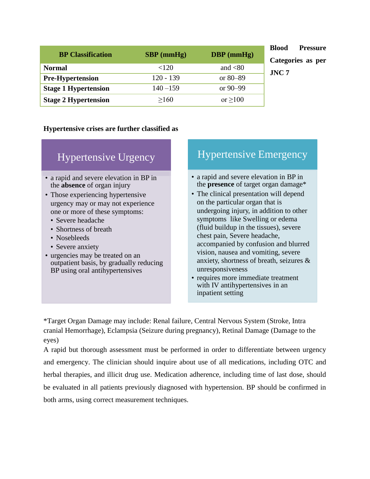| <b>BP</b> Classification    | $SBP$ (mmHg) | $DBP$ (mmHg)     |
|-----------------------------|--------------|------------------|
| <b>Normal</b>               | ${<}120$     | and $\langle 80$ |
| <b>Pre-Hypertension</b>     | $120 - 139$  | or $80 - 89$     |
| <b>Stage 1 Hypertension</b> | $140 - 159$  | or $90 - 99$     |
| <b>Stage 2 Hypertension</b> | >160         | or $\geq 100$    |

**Blood Pressure Categories as per JNC 7**

#### **Hypertensive crises are further classified as**

| <b>Hypertensive Urgency</b>                                                                                    |  |
|----------------------------------------------------------------------------------------------------------------|--|
| • a rapid and severe elevation in BP in                                                                        |  |
| the <b>absence</b> of organ injury<br>• Those experiencing hypertensive                                        |  |
| urgency may or may not experience                                                                              |  |
| one or more of these symptoms:                                                                                 |  |
| • Severe headache<br>• Shortness of breath                                                                     |  |
| • Nosebleeds                                                                                                   |  |
| • Severe anxiety                                                                                               |  |
| • urgencies may be treated on an<br>outpatient basis, by gradually reducing<br>BP using oral antihypertensives |  |
|                                                                                                                |  |

## Hypertensive Emergency

- a rapid and severe elevation in BP in the **presence** of target organ damage\*
- The clinical presentation will depend on the particular organ that is undergoing injury, in addition to other symptoms like Swelling or edema (fluid buildup in the tissues), severe chest pain, Severe headache, accompanied by confusion and blurred vision, nausea and vomiting, severe anxiety, shortness of breath, seizures & unresponsiveness
- requires more immediate treatment with IV antihypertensives in an inpatient setting

\*Target Organ Damage may include: Renal failure, Central Nervous System (Stroke, Intra cranial Hemorrhage), Eclampsia (Seizure during pregnancy), Retinal Damage (Damage to the eyes)

A rapid but thorough assessment must be performed in order to differentiate between urgency and emergency. The clinician should inquire about use of all medications, including OTC and herbal therapies, and illicit drug use. Medication adherence, including time of last dose, should be evaluated in all patients previously diagnosed with hypertension. BP should be confirmed in both arms, using correct measurement techniques.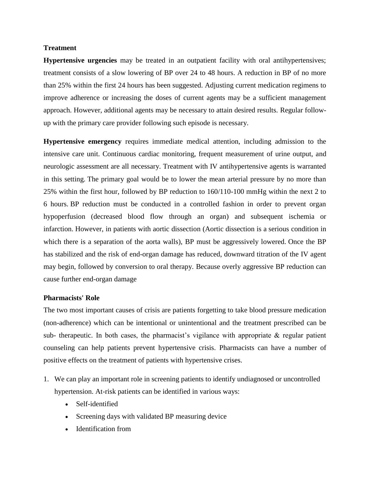#### **Treatment**

**Hypertensive urgencies** may be treated in an outpatient facility with oral antihypertensives; treatment consists of a slow lowering of BP over 24 to 48 hours. A reduction in BP of no more than 25% within the first 24 hours has been suggested. Adjusting current medication regimens to improve adherence or increasing the doses of current agents may be a sufficient management approach. However, additional agents may be necessary to attain desired results. Regular followup with the primary care provider following such episode is necessary.

**Hypertensive emergency** requires immediate medical attention, including admission to the intensive care unit. Continuous cardiac monitoring, frequent measurement of urine output, and neurologic assessment are all necessary. Treatment with IV antihypertensive agents is warranted in this setting. The primary goal would be to lower the mean arterial pressure by no more than 25% within the first hour, followed by BP reduction to 160/110-100 mmHg within the next 2 to 6 hours. BP reduction must be conducted in a controlled fashion in order to prevent organ hypoperfusion (decreased blood flow through an organ) and subsequent ischemia or infarction. However, in patients with aortic dissection (Aortic dissection is a serious condition in which there is a separation of the aorta walls), BP must be aggressively lowered. Once the BP has stabilized and the risk of end-organ damage has reduced, downward titration of the IV agent may begin, followed by conversion to oral therapy. Because overly aggressive BP reduction can cause further end-organ damage

#### **Pharmacists' Role**

The two most important causes of crisis are patients forgetting to take blood pressure medication (non-adherence) which can be intentional or unintentional and the treatment prescribed can be sub- therapeutic. In both cases, the pharmacist's vigilance with appropriate  $\&$  regular patient counseling can help patients prevent hypertensive crisis. Pharmacists can have a number of positive effects on the treatment of patients with hypertensive crises.

- 1. We can play an important role in screening patients to identify undiagnosed or uncontrolled hypertension. At-risk patients can be identified in various ways:
	- Self-identified
	- Screening days with validated BP measuring device
	- Identification from